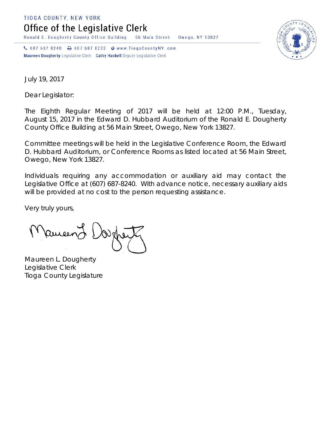TIOGA COUNTY, NEW YORK

Office of the Legislative Clerk

Ronald E. Dougherty County Office Building 56 Main Street Owego, NY 13827

↓ 607 687 8240 → 607 687 8232 → www.TiogaCountyNY.com Maureen Dougherty Legislative Clerk Cathy Haskell Deputy Legislative Clerk



July 19, 2017

Dear Legislator:

The Eighth Regular Meeting of 2017 will be held at 12:00 P.M., Tuesday, August 15, 2017 in the Edward D. Hubbard Auditorium of the Ronald E. Dougherty County Office Building at 56 Main Street, Owego, New York 13827.

Committee meetings will be held in the Legislative Conference Room, the Edward D. Hubbard Auditorium, or Conference Rooms as listed located at 56 Main Street, Owego, New York 13827.

Individuals requiring any accommodation or auxiliary aid may contact the Legislative Office at (607) 687-8240. With advance notice, necessary auxiliary aids will be provided at no cost to the person requesting assistance.

Very truly yours,

**Pancent** 

Maureen L. Dougherty Legislative Clerk Tioga County Legislature